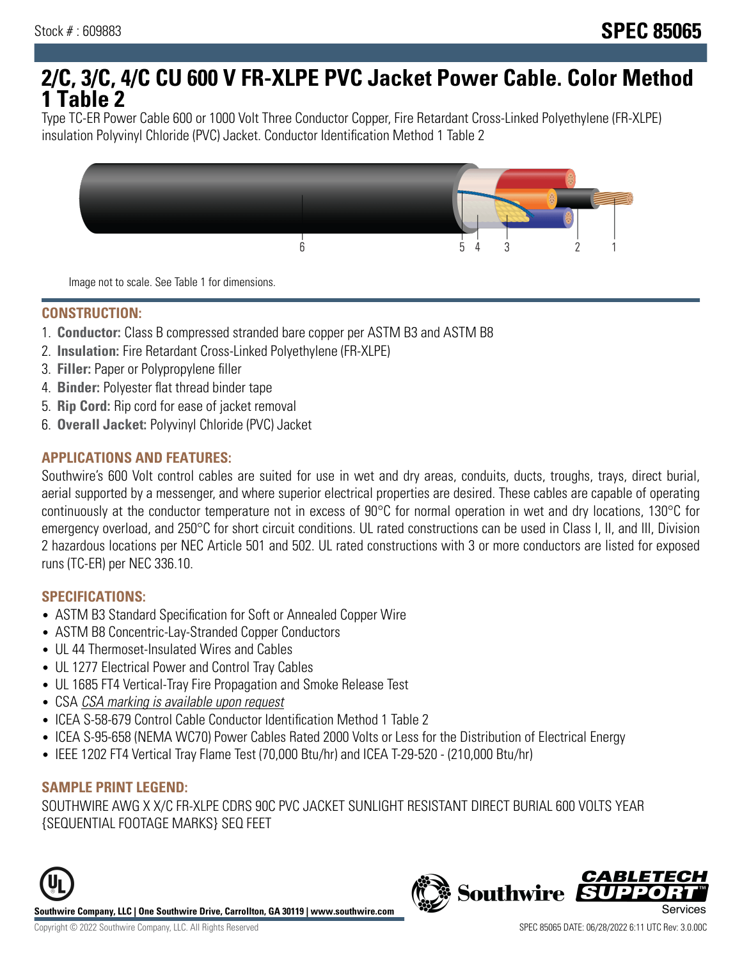# **2/C, 3/C, 4/C CU 600 V FR-XLPE PVC Jacket Power Cable. Color Method 1 Table 2**

Type TC-ER Power Cable 600 or 1000 Volt Three Conductor Copper, Fire Retardant Cross-Linked Polyethylene (FR-XLPE) insulation Polyvinyl Chloride (PVC) Jacket. Conductor Identification Method 1 Table 2



Image not to scale. See Table 1 for dimensions.

#### **CONSTRUCTION:**

- 1. **Conductor:** Class B compressed stranded bare copper per ASTM B3 and ASTM B8
- 2. **Insulation:** Fire Retardant Cross-Linked Polyethylene (FR-XLPE)
- 3. **Filler:** Paper or Polypropylene filler
- 4. **Binder:** Polyester flat thread binder tape
- 5. **Rip Cord:** Rip cord for ease of jacket removal
- 6. **Overall Jacket:** Polyvinyl Chloride (PVC) Jacket

## **APPLICATIONS AND FEATURES:**

Southwire's 600 Volt control cables are suited for use in wet and dry areas, conduits, ducts, troughs, trays, direct burial, aerial supported by a messenger, and where superior electrical properties are desired. These cables are capable of operating continuously at the conductor temperature not in excess of 90°C for normal operation in wet and dry locations, 130°C for emergency overload, and 250°C for short circuit conditions. UL rated constructions can be used in Class I, II, and III, Division 2 hazardous locations per NEC Article 501 and 502. UL rated constructions with 3 or more conductors are listed for exposed runs (TC-ER) per NEC 336.10.

#### **SPECIFICATIONS:**

- ASTM B3 Standard Specification for Soft or Annealed Copper Wire
- ASTM B8 Concentric-Lay-Stranded Copper Conductors
- UL 44 Thermoset-Insulated Wires and Cables
- UL 1277 Electrical Power and Control Tray Cables
- UL 1685 FT4 Vertical-Tray Fire Propagation and Smoke Release Test
- CSA CSA marking is available upon request
- ICEA S-58-679 Control Cable Conductor Identification Method 1 Table 2
- ICEA S-95-658 (NEMA WC70) Power Cables Rated 2000 Volts or Less for the Distribution of Electrical Energy
- IEEE 1202 FT4 Vertical Tray Flame Test (70,000 Btu/hr) and ICEA T-29-520 (210,000 Btu/hr)

#### **SAMPLE PRINT LEGEND:**

SOUTHWIRE AWG X X/C FR-XLPE CDRS 90C PVC JACKET SUNLIGHT RESISTANT DIRECT BURIAL 600 VOLTS YEAR {SEQUENTIAL FOOTAGE MARKS} SEQ FEET





**CABLETE**